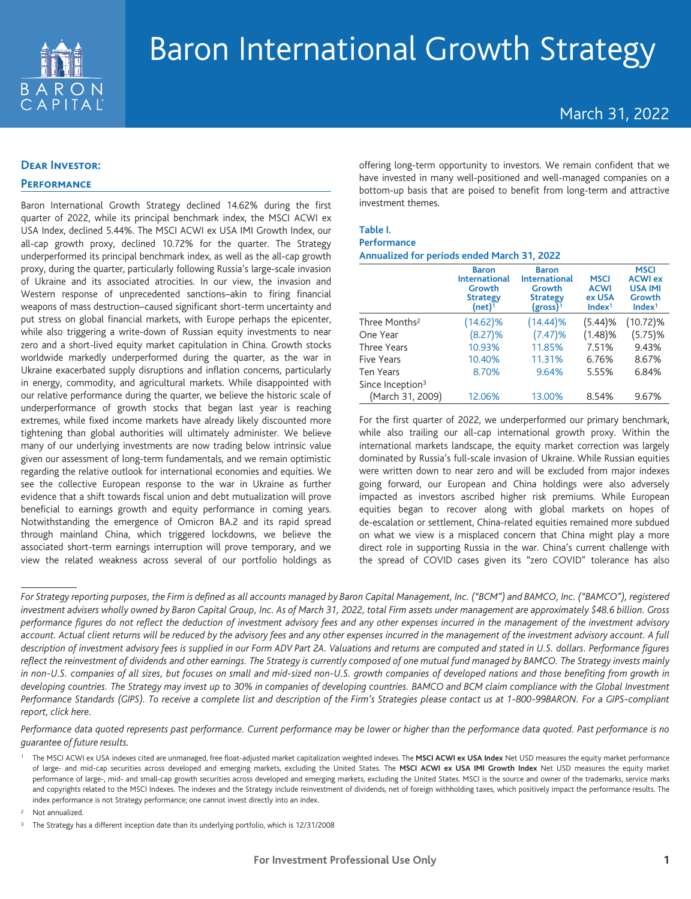

# March 31, 2022

### **Dear Investor:**

## **Performance**

Baron International Growth Strategy declined 14.62% during the first quarter of 2022, while its principal benchmark index, the MSCI ACWI ex USA Index, declined 5.44%. The MSCI ACWI ex USA IMI Growth Index, our all-cap growth proxy, declined 10.72% for the quarter. The Strategy underperformed its principal benchmark index, as well as the all-cap growth proxy, during the quarter, particularly following Russia's large-scale invasion of Ukraine and its associated atrocities. In our view, the invasion and Western response of unprecedented sanctions–akin to firing financial weapons of mass destruction–caused significant short-term uncertainty and put stress on global financial markets, with Europe perhaps the epicenter, while also triggering a write-down of Russian equity investments to near zero and a short-lived equity market capitulation in China. Growth stocks worldwide markedly underperformed during the quarter, as the war in Ukraine exacerbated supply disruptions and inflation concerns, particularly in energy, commodity, and agricultural markets. While disappointed with our relative performance during the quarter, we believe the historic scale of underperformance of growth stocks that began last year is reaching extremes, while fixed income markets have already likely discounted more tightening than global authorities will ultimately administer. We believe many of our underlying investments are now trading below intrinsic value given our assessment of long-term fundamentals, and we remain optimistic regarding the relative outlook for international economies and equities. We see the collective European response to the war in Ukraine as further evidence that a shift towards fiscal union and debt mutualization will prove beneficial to earnings growth and equity performance in coming years. Notwithstanding the emergence of Omicron BA.2 and its rapid spread through mainland China, which triggered lockdowns, we believe the associated short-term earnings interruption will prove temporary, and we view the related weakness across several of our portfolio holdings as

offering long-term opportunity to investors. We remain confident that we have invested in many well-positioned and well-managed companies on a bottom-up basis that are poised to benefit from long-term and attractive investment themes.

### **Table I.**

#### **Performance Annualized for periods ended March 31, 2022**

|                              | <b>Baron</b><br><b>International</b><br>Growth<br><b>Strategy</b><br>$(net)$ <sup>1</sup> | <b>Baron</b><br><b>International</b><br>Growth<br><b>Strategy</b><br>$(gross)^{1}$ | <b>MSCI</b><br><b>ACWI</b><br>ex USA<br>Index <sup>1</sup> | <b>MSCI</b><br><b>ACWI ex</b><br><b>USA IMI</b><br>Growth<br>Index <sup>1</sup> |
|------------------------------|-------------------------------------------------------------------------------------------|------------------------------------------------------------------------------------|------------------------------------------------------------|---------------------------------------------------------------------------------|
| Three Months <sup>2</sup>    | $(14.62)\%$                                                                               | $(14.44)\%$                                                                        | (5.44)%                                                    | $(10.72)\%$                                                                     |
| One Year                     | (8.27)%                                                                                   | (7.47)%                                                                            | (1.48)%                                                    | (5.75)%                                                                         |
| <b>Three Years</b>           | 10.93%                                                                                    | 11.85%                                                                             | 7.51%                                                      | 9.43%                                                                           |
| Five Years                   | 10.40%                                                                                    | 11.31%                                                                             | 6.76%                                                      | 8.67%                                                                           |
| Ten Years                    | 8.70%                                                                                     | 9.64%                                                                              | 5.55%                                                      | 6.84%                                                                           |
| Since Inception <sup>3</sup> |                                                                                           |                                                                                    |                                                            |                                                                                 |
| (March 31, 2009)             | 12.06%                                                                                    | 13.00%                                                                             | 8.54%                                                      | 9.67%                                                                           |

For the first quarter of 2022, we underperformed our primary benchmark, while also trailing our all-cap international growth proxy. Within the international markets landscape, the equity market correction was largely dominated by Russia's full-scale invasion of Ukraine. While Russian equities were written down to near zero and will be excluded from major indexes going forward, our European and China holdings were also adversely impacted as investors ascribed higher risk premiums. While European equities began to recover along with global markets on hopes of de-escalation or settlement, China-related equities remained more subdued on what we view is a misplaced concern that China might play a more direct role in supporting Russia in the war. China's current challenge with the spread of COVID cases given its "zero COVID" tolerance has also

*Performance data quoted represents past performance. Current performance may be lower or higher than the performance data quoted. Past performance is no guarantee of future results.*

<sup>2</sup> Not annualized.

*For Strategy reporting purposes, the Firm is defined as all accounts managed by Baron Capital Management, Inc. ("BCM") and BAMCO, Inc. ("BAMCO"), registered investment advisers wholly owned by Baron Capital Group, Inc. As of March 31, 2022, total Firm assets under management are approximately \$48.6 billion. Gross performance figures do not reflect the deduction of investment advisory fees and any other expenses incurred in the management of the investment advisory account. Actual client returns will be reduced by the advisory fees and any other expenses incurred in the management of the investment advisory account. A full description of investment advisory fees is supplied in our Form ADV Part 2A. Valuations and returns are computed and stated in U.S. dollars. Performance figures reflect the reinvestment of dividends and other earnings. The Strategy is currently composed of one mutual fund managed by BAMCO. The Strategy invests mainly in non-U.S. companies of all sizes, but focuses on small and mid-sized non-U.S. growth companies of developed nations and those benefiting from growth in developing countries. The Strategy may invest up to 30% in companies of developing countries. BAMCO and BCM claim compliance with the Global Investment Performance Standards (GIPS). To receive a complete list and description of the Firm's Strategies please contact us at 1-800-99BARON. For a GIPS-compliant report, click here.*

<sup>&</sup>lt;sup>1</sup> The MSCI ACWI ex USA indexes cited are unmanaged, free float-adjusted market capitalization weighted indexes. The MSCI ACWI ex USA Index Net USD measures the equity market performance of large- and mid-cap securities across developed and emerging markets, excluding the United States. The **MSCI ACWI ex USA IMI Growth Index** Net USD measures the equity market performance of large-, mid- and small-cap growth securities across developed and emerging markets, excluding the United States. MSCI is the source and owner of the trademarks, service marks and copyrights related to the MSCI Indexes. The indexes and the Strategy include reinvestment of dividends, net of foreign withholding taxes, which positively impact the performance results. The index performance is not Strategy performance; one cannot invest directly into an index.

<sup>3</sup> The Strategy has a different inception date than its underlying portfolio, which is 12/31/2008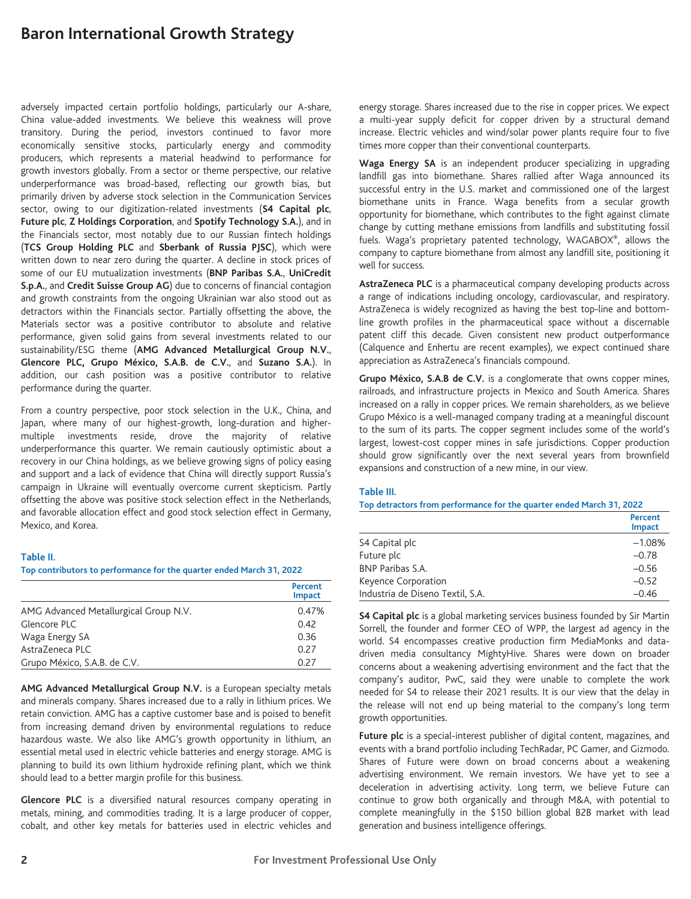adversely impacted certain portfolio holdings, particularly our A-share, China value-added investments. We believe this weakness will prove transitory. During the period, investors continued to favor more economically sensitive stocks, particularly energy and commodity producers, which represents a material headwind to performance for growth investors globally. From a sector or theme perspective, our relative underperformance was broad-based, reflecting our growth bias, but primarily driven by adverse stock selection in the Communication Services sector, owing to our digitization-related investments (**S4 Capital plc**, **Future plc**, **Z Holdings Corporation**, and **Spotify Technology S.A.**), and in the Financials sector, most notably due to our Russian fintech holdings (**TCS Group Holding PLC** and **Sberbank of Russia PJSC**), which were written down to near zero during the quarter. A decline in stock prices of some of our EU mutualization investments (**BNP Paribas S.A.**, **UniCredit S.p.A.**, and **Credit Suisse Group AG**) due to concerns of financial contagion and growth constraints from the ongoing Ukrainian war also stood out as detractors within the Financials sector. Partially offsetting the above, the Materials sector was a positive contributor to absolute and relative performance, given solid gains from several investments related to our sustainability/ESG theme (**AMG Advanced Metallurgical Group N.V.**, **Glencore PLC, Grupo México, S.A.B. de C.V.**, and **Suzano S.A.**). In addition, our cash position was a positive contributor to relative performance during the quarter.

From a country perspective, poor stock selection in the U.K., China, and Japan, where many of our highest-growth, long-duration and highermultiple investments reside, drove the majority of relative underperformance this quarter. We remain cautiously optimistic about a recovery in our China holdings, as we believe growing signs of policy easing and support and a lack of evidence that China will directly support Russia's campaign in Ukraine will eventually overcome current skepticism. Partly offsetting the above was positive stock selection effect in the Netherlands, and favorable allocation effect and good stock selection effect in Germany, Mexico, and Korea.

### **Table II.**

#### **Top contributors to performance for the quarter ended March 31, 2022**

|                                       | Percent<br><b>Impact</b> |
|---------------------------------------|--------------------------|
| AMG Advanced Metallurgical Group N.V. | 0.47%                    |
| Glencore PLC                          | 0.42                     |
| Waga Energy SA                        | 0.36                     |
| AstraZeneca PLC                       | 0.27                     |
| Grupo México, S.A.B. de C.V.          | 0.27                     |

**AMG Advanced Metallurgical Group N.V.** is a European specialty metals and minerals company. Shares increased due to a rally in lithium prices. We retain conviction. AMG has a captive customer base and is poised to benefit from increasing demand driven by environmental regulations to reduce hazardous waste. We also like AMG's growth opportunity in lithium, an essential metal used in electric vehicle batteries and energy storage. AMG is planning to build its own lithium hydroxide refining plant, which we think should lead to a better margin profile for this business.

**Glencore PLC** is a diversified natural resources company operating in metals, mining, and commodities trading. It is a large producer of copper, cobalt, and other key metals for batteries used in electric vehicles and energy storage. Shares increased due to the rise in copper prices. We expect a multi-year supply deficit for copper driven by a structural demand increase. Electric vehicles and wind/solar power plants require four to five times more copper than their conventional counterparts.

**Waga Energy SA** is an independent producer specializing in upgrading landfill gas into biomethane. Shares rallied after Waga announced its successful entry in the U.S. market and commissioned one of the largest biomethane units in France. Waga benefits from a secular growth opportunity for biomethane, which contributes to the fight against climate change by cutting methane emissions from landfills and substituting fossil fuels. Waga's proprietary patented technology, WAGABOX®, allows the company to capture biomethane from almost any landfill site, positioning it well for success.

**AstraZeneca PLC** is a pharmaceutical company developing products across a range of indications including oncology, cardiovascular, and respiratory. AstraZeneca is widely recognized as having the best top-line and bottomline growth profiles in the pharmaceutical space without a discernable patent cliff this decade. Given consistent new product outperformance (Calquence and Enhertu are recent examples), we expect continued share appreciation as AstraZeneca's financials compound.

**Grupo México, S.A.B de C.V.** is a conglomerate that owns copper mines, railroads, and infrastructure projects in Mexico and South America. Shares increased on a rally in copper prices. We remain shareholders, as we believe Grupo México is a well-managed company trading at a meaningful discount to the sum of its parts. The copper segment includes some of the world's largest, lowest-cost copper mines in safe jurisdictions. Copper production should grow significantly over the next several years from brownfield expansions and construction of a new mine, in our view.

#### **Table III.**

#### **Top detractors from performance for the quarter ended March 31, 2022**

|                                  | Percent<br><b>Impact</b> |
|----------------------------------|--------------------------|
| S4 Capital plc                   | $-1.08%$                 |
| Future plc                       | $-0.78$                  |
| BNP Paribas S.A.                 | $-0.56$                  |
| Keyence Corporation              | $-0.52$                  |
| Industria de Diseno Textil, S.A. | $-0.46$                  |

**S4 Capital plc** is a global marketing services business founded by Sir Martin Sorrell, the founder and former CEO of WPP, the largest ad agency in the world. S4 encompasses creative production firm MediaMonks and datadriven media consultancy MightyHive. Shares were down on broader concerns about a weakening advertising environment and the fact that the company's auditor, PwC, said they were unable to complete the work needed for S4 to release their 2021 results. It is our view that the delay in the release will not end up being material to the company's long term growth opportunities.

**Future plc** is a special-interest publisher of digital content, magazines, and events with a brand portfolio including TechRadar, PC Gamer, and Gizmodo. Shares of Future were down on broad concerns about a weakening advertising environment. We remain investors. We have yet to see a deceleration in advertising activity. Long term, we believe Future can continue to grow both organically and through M&A, with potential to complete meaningfully in the \$150 billion global B2B market with lead generation and business intelligence offerings.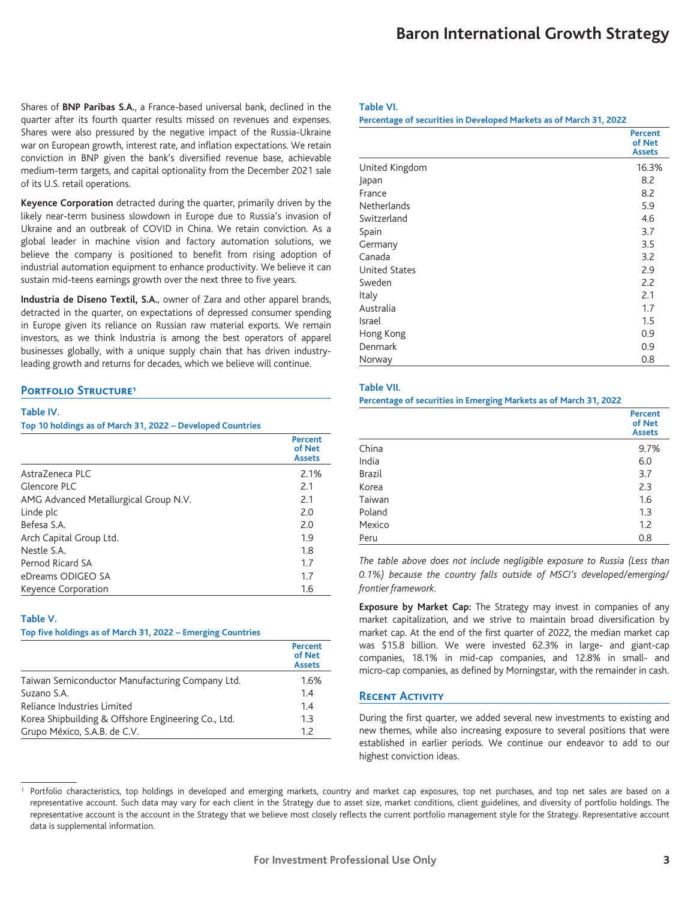Shares of **BNP Paribas S.A.**, a France-based universal bank, declined in the quarter after its fourth quarter results missed on revenues and expenses. Shares were also pressured by the negative impact of the Russia-Ukraine war on European growth, interest rate, and inflation expectations. We retain conviction in BNP given the bank's diversified revenue base, achievable medium-term targets, and capital optionality from the December 2021 sale of its U.S. retail operations.

**Keyence Corporation** detracted during the quarter, primarily driven by the likely near-term business slowdown in Europe due to Russia's invasion of Ukraine and an outbreak of COVID in China. We retain conviction. As a global leader in machine vision and factory automation solutions, we believe the company is positioned to benefit from rising adoption of industrial automation equipment to enhance productivity. We believe it can sustain mid-teens earnings growth over the next three to five years.

**Industria de Diseno Textil, S.A.**, owner of Zara and other apparel brands, detracted in the quarter, on expectations of depressed consumer spending in Europe given its reliance on Russian raw material exports. We remain investors, as we think Industria is among the best operators of apparel businesses globally, with a unique supply chain that has driven industryleading growth and returns for decades, which we believe will continue.

### **PORTFOLIO STRUCTURE<sup>1</sup>**

### **Table IV.**

**Top 10 holdings as of March 31, 2022 – Developed Countries**

|                                       | <b>Percent</b><br>of Net<br><b>Assets</b> |
|---------------------------------------|-------------------------------------------|
| Astra7eneca PLC                       | 2.1%                                      |
| Glencore PLC                          | 2.1                                       |
| AMG Advanced Metallurgical Group N.V. | 2.1                                       |
| Linde plc                             | 2.0                                       |
| Befesa S.A.                           | 2.0                                       |
| Arch Capital Group Ltd.               | 1.9                                       |
| Nestle S.A.                           | 1.8                                       |
| Pernod Ricard SA                      | 1.7                                       |
| eDreams ODIGEO SA                     | 1.7                                       |
| Keyence Corporation                   | 1.6                                       |

### **Table V.**

**Top five holdings as of March 31, 2022 – Emerging Countries**

|                                                     | <b>Percent</b><br>of Net<br><b>Assets</b> |
|-----------------------------------------------------|-------------------------------------------|
| Taiwan Semiconductor Manufacturing Company Ltd.     | 1.6%                                      |
| Suzano S.A.                                         | 1.4                                       |
| Reliance Industries Limited                         | 1.4                                       |
| Korea Shipbuilding & Offshore Engineering Co., Ltd. | 1.3                                       |
| Grupo México, S.A.B. de C.V.                        | 1.7                                       |

### **Table VI.**

**Percentage of securities in Developed Markets as of March 31, 2022**

|                      | <b>Percent</b><br>of Net<br><b>Assets</b> |
|----------------------|-------------------------------------------|
| United Kingdom       | 16.3%                                     |
| Japan                | 8.2                                       |
| France               | 8.2                                       |
| <b>Netherlands</b>   | 5.9                                       |
| Switzerland          | 4.6                                       |
| Spain                | 3.7                                       |
| Germany              | 3.5                                       |
| Canada               | 3.2                                       |
| <b>United States</b> | 2.9                                       |
| Sweden               | 2.2                                       |
| Italy                | 2.1                                       |
| Australia            | 1.7                                       |
| Israel               | 1.5                                       |
| Hong Kong            | 0.9                                       |
| Denmark              | 0.9                                       |
| Norway               | 0.8                                       |

### **Table VII.**

**Percentage of securities in Emerging Markets as of March 31, 2022**

|               | <b>Percent</b><br>of Net<br><b>Assets</b> |
|---------------|-------------------------------------------|
| China         | 9.7%                                      |
| India         | 6.0                                       |
| <b>Brazil</b> | 3.7                                       |
| Korea         | 2.3                                       |
| Taiwan        | 1.6                                       |
| Poland        | 1.3                                       |
| Mexico        | 1.2                                       |
| Peru          | 0.8                                       |

*The table above does not include negligible exposure to Russia (Less than 0.1%) because the country falls outside of MSCI's developed/emerging/ frontier framework.*

**Exposure by Market Cap:** The Strategy may invest in companies of any market capitalization, and we strive to maintain broad diversification by market cap. At the end of the first quarter of 2022, the median market cap was \$15.8 billion. We were invested 62.3% in large- and giant-cap companies, 18.1% in mid-cap companies, and 12.8% in small- and micro-cap companies, as defined by Morningstar, with the remainder in cash.

### **Recent Activity**

During the first quarter, we added several new investments to existing and new themes, while also increasing exposure to several positions that were established in earlier periods. We continue our endeavor to add to our highest conviction ideas.

Portfolio characteristics, top holdings in developed and emerging markets, country and market cap exposures, top net purchases, and top net sales are based on a representative account. Such data may vary for each client in the Strategy due to asset size, market conditions, client guidelines, and diversity of portfolio holdings. The representative account is the account in the Strategy that we believe most closely reflects the current portfolio management style for the Strategy. Representative account data is supplemental information.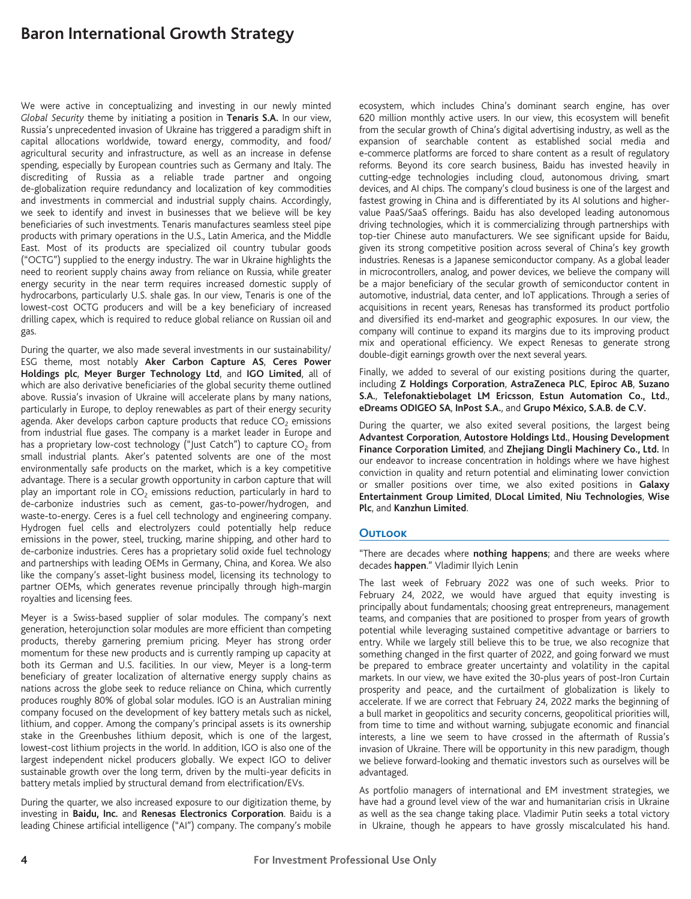We were active in conceptualizing and investing in our newly minted *Global Security* theme by initiating a position in **Tenaris S.A.** In our view, Russia's unprecedented invasion of Ukraine has triggered a paradigm shift in capital allocations worldwide, toward energy, commodity, and food/ agricultural security and infrastructure, as well as an increase in defense spending, especially by European countries such as Germany and Italy. The discrediting of Russia as a reliable trade partner and ongoing de-globalization require redundancy and localization of key commodities and investments in commercial and industrial supply chains. Accordingly, we seek to identify and invest in businesses that we believe will be key beneficiaries of such investments. Tenaris manufactures seamless steel pipe products with primary operations in the U.S., Latin America, and the Middle East. Most of its products are specialized oil country tubular goods ("OCTG") supplied to the energy industry. The war in Ukraine highlights the need to reorient supply chains away from reliance on Russia, while greater energy security in the near term requires increased domestic supply of hydrocarbons, particularly U.S. shale gas. In our view, Tenaris is one of the lowest-cost OCTG producers and will be a key beneficiary of increased drilling capex, which is required to reduce global reliance on Russian oil and gas.

During the quarter, we also made several investments in our sustainability/ ESG theme, most notably **Aker Carbon Capture AS**, **Ceres Power Holdings plc**, **Meyer Burger Technology Ltd**, and **IGO Limited**, all of which are also derivative beneficiaries of the global security theme outlined above. Russia's invasion of Ukraine will accelerate plans by many nations, particularly in Europe, to deploy renewables as part of their energy security agenda. Aker develops carbon capture products that reduce  $CO<sub>2</sub>$  emissions from industrial flue gases. The company is a market leader in Europe and has a proprietary low-cost technology ("Just Catch") to capture  $CO<sub>2</sub>$  from small industrial plants. Aker's patented solvents are one of the most environmentally safe products on the market, which is a key competitive advantage. There is a secular growth opportunity in carbon capture that will play an important role in  $CO<sub>2</sub>$  emissions reduction, particularly in hard to de-carbonize industries such as cement, gas-to-power/hydrogen, and waste-to-energy. Ceres is a fuel cell technology and engineering company. Hydrogen fuel cells and electrolyzers could potentially help reduce emissions in the power, steel, trucking, marine shipping, and other hard to de-carbonize industries. Ceres has a proprietary solid oxide fuel technology and partnerships with leading OEMs in Germany, China, and Korea. We also like the company's asset-light business model, licensing its technology to partner OEMs, which generates revenue principally through high-margin royalties and licensing fees.

Meyer is a Swiss-based supplier of solar modules. The company's next generation, heterojunction solar modules are more efficient than competing products, thereby garnering premium pricing. Meyer has strong order momentum for these new products and is currently ramping up capacity at both its German and U.S. facilities. In our view, Meyer is a long-term beneficiary of greater localization of alternative energy supply chains as nations across the globe seek to reduce reliance on China, which currently produces roughly 80% of global solar modules. IGO is an Australian mining company focused on the development of key battery metals such as nickel, lithium, and copper. Among the company's principal assets is its ownership stake in the Greenbushes lithium deposit, which is one of the largest, lowest-cost lithium projects in the world. In addition, IGO is also one of the largest independent nickel producers globally. We expect IGO to deliver sustainable growth over the long term, driven by the multi-year deficits in battery metals implied by structural demand from electrification/EVs.

During the quarter, we also increased exposure to our digitization theme, by investing in **Baidu, Inc.** and **Renesas Electronics Corporation**. Baidu is a leading Chinese artificial intelligence ("AI") company. The company's mobile ecosystem, which includes China's dominant search engine, has over 620 million monthly active users. In our view, this ecosystem will benefit from the secular growth of China's digital advertising industry, as well as the expansion of searchable content as established social media and e-commerce platforms are forced to share content as a result of regulatory reforms. Beyond its core search business, Baidu has invested heavily in cutting-edge technologies including cloud, autonomous driving, smart devices, and AI chips. The company's cloud business is one of the largest and fastest growing in China and is differentiated by its AI solutions and highervalue PaaS/SaaS offerings. Baidu has also developed leading autonomous driving technologies, which it is commercializing through partnerships with top-tier Chinese auto manufacturers. We see significant upside for Baidu, given its strong competitive position across several of China's key growth industries. Renesas is a Japanese semiconductor company. As a global leader in microcontrollers, analog, and power devices, we believe the company will be a major beneficiary of the secular growth of semiconductor content in automotive, industrial, data center, and IoT applications. Through a series of acquisitions in recent years, Renesas has transformed its product portfolio and diversified its end-market and geographic exposures. In our view, the company will continue to expand its margins due to its improving product mix and operational efficiency. We expect Renesas to generate strong double-digit earnings growth over the next several years.

Finally, we added to several of our existing positions during the quarter, including **Z Holdings Corporation**, **AstraZeneca PLC**, **Epiroc AB**, **Suzano S.A.**, **Telefonaktiebolaget LM Ericsson**, **Estun Automation Co., Ltd.**, **eDreams ODIGEO SA**, **InPost S.A.**, and **Grupo México, S.A.B. de C.V.**

During the quarter, we also exited several positions, the largest being **Advantest Corporation**, **Autostore Holdings Ltd.**, **Housing Development Finance Corporation Limited**, and **Zhejiang Dingli Machinery Co., Ltd.** In our endeavor to increase concentration in holdings where we have highest conviction in quality and return potential and eliminating lower conviction or smaller positions over time, we also exited positions in **Galaxy Entertainment Group Limited**, **DLocal Limited**, **Niu Technologies**, **Wise Plc**, and **Kanzhun Limited**.

### **Outlook**

"There are decades where **nothing happens**; and there are weeks where decades **happen**." Vladimir Ilyich Lenin

The last week of February 2022 was one of such weeks. Prior to February 24, 2022, we would have argued that equity investing is principally about fundamentals; choosing great entrepreneurs, management teams, and companies that are positioned to prosper from years of growth potential while leveraging sustained competitive advantage or barriers to entry. While we largely still believe this to be true, we also recognize that something changed in the first quarter of 2022, and going forward we must be prepared to embrace greater uncertainty and volatility in the capital markets. In our view, we have exited the 30-plus years of post-Iron Curtain prosperity and peace, and the curtailment of globalization is likely to accelerate. If we are correct that February 24, 2022 marks the beginning of a bull market in geopolitics and security concerns, geopolitical priorities will, from time to time and without warning, subjugate economic and financial interests, a line we seem to have crossed in the aftermath of Russia's invasion of Ukraine. There will be opportunity in this new paradigm, though we believe forward-looking and thematic investors such as ourselves will be advantaged.

As portfolio managers of international and EM investment strategies, we have had a ground level view of the war and humanitarian crisis in Ukraine as well as the sea change taking place. Vladimir Putin seeks a total victory in Ukraine, though he appears to have grossly miscalculated his hand.